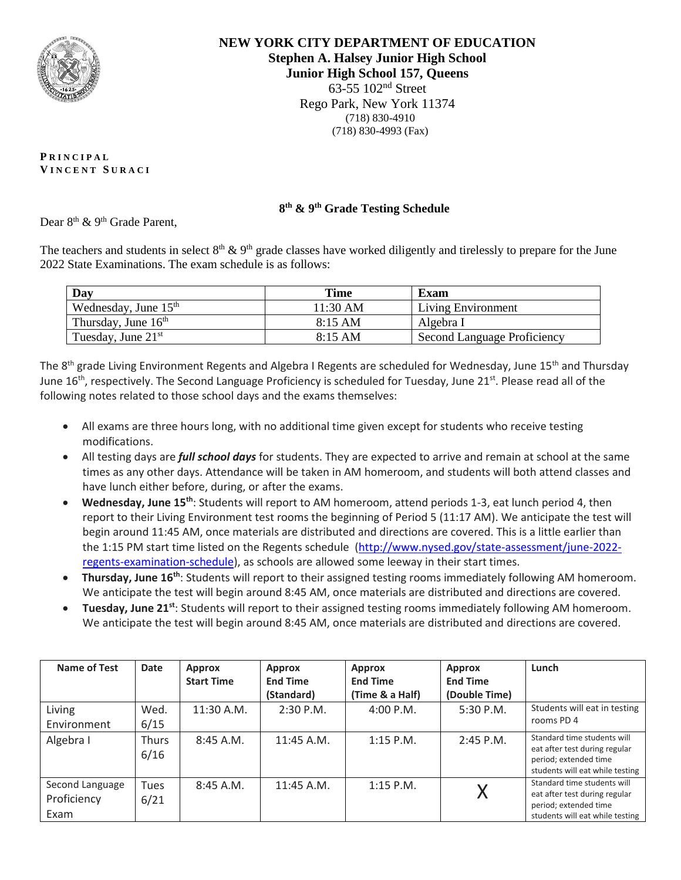

**NEW YORK CITY DEPARTMENT OF EDUCATION Stephen A. Halsey Junior High School Junior High School 157, Queens** 63-55 102nd Street Rego Park, New York 11374 (718) 830-4910 (718) 830-4993 (Fax)

**P R I N C I P A L V I N C E N T S U R A C I**

## **8 th & 9th Grade Testing Schedule**

Dear 8<sup>th</sup> & 9<sup>th</sup> Grade Parent,

The teachers and students in select  $8<sup>th</sup>$  &  $9<sup>th</sup>$  grade classes have worked diligently and tirelessly to prepare for the June 2022 State Examinations. The exam schedule is as follows:

| Day                    | <b>Time</b>       | Exam                        |  |
|------------------------|-------------------|-----------------------------|--|
| Wednesday, June $15th$ | $11:30$ AM        | Living Environment          |  |
| Thursday, June $16th$  | $8:15 \text{ AM}$ | Algebra I                   |  |
| Tuesday, June $21st$   | $8:15$ AM         | Second Language Proficiency |  |

The 8<sup>th</sup> grade Living Environment Regents and Algebra I Regents are scheduled for Wednesday, June 15<sup>th</sup> and Thursday June 16<sup>th</sup>, respectively. The Second Language Proficiency is scheduled for Tuesday, June 21<sup>st</sup>. Please read all of the following notes related to those school days and the exams themselves:

- All exams are three hours long, with no additional time given except for students who receive testing modifications.
- All testing days are *full school days* for students. They are expected to arrive and remain at school at the same times as any other days. Attendance will be taken in AM homeroom, and students will both attend classes and have lunch either before, during, or after the exams.
- **Wednesday, June 15th**: Students will report to AM homeroom, attend periods 1-3, eat lunch period 4, then report to their Living Environment test rooms the beginning of Period 5 (11:17 AM). We anticipate the test will begin around 11:45 AM, once materials are distributed and directions are covered. This is a little earlier than the 1:15 PM start time listed on the Regents schedule [\(http://www.nysed.gov/state-assessment/june-2022](https://nam10.safelinks.protection.outlook.com/?url=http%3A%2F%2Fwww.nysed.gov%2Fstate-assessment%2Fjune-2022-regents-examination-schedule&data=05%7C01%7CMNapoli6%40schools.nyc.gov%7C29c48e0ab7df4256679a08da4d52db79%7C18492cb7ef45456185710c42e5f7ac07%7C0%7C0%7C637907315509335690%7CUnknown%7CTWFpbGZsb3d8eyJWIjoiMC4wLjAwMDAiLCJQIjoiV2luMzIiLCJBTiI6Ik1haWwiLCJXVCI6Mn0%3D%7C3000%7C%7C%7C&sdata=V5lAq20sGgc2OcPBVCFGTLU37qWvU5eLL0eXKrmv6VM%3D&reserved=0) [regents-examination-schedule\)](https://nam10.safelinks.protection.outlook.com/?url=http%3A%2F%2Fwww.nysed.gov%2Fstate-assessment%2Fjune-2022-regents-examination-schedule&data=05%7C01%7CMNapoli6%40schools.nyc.gov%7C29c48e0ab7df4256679a08da4d52db79%7C18492cb7ef45456185710c42e5f7ac07%7C0%7C0%7C637907315509335690%7CUnknown%7CTWFpbGZsb3d8eyJWIjoiMC4wLjAwMDAiLCJQIjoiV2luMzIiLCJBTiI6Ik1haWwiLCJXVCI6Mn0%3D%7C3000%7C%7C%7C&sdata=V5lAq20sGgc2OcPBVCFGTLU37qWvU5eLL0eXKrmv6VM%3D&reserved=0), as schools are allowed some leeway in their start times.
- **Thursday, June 16th**: Students will report to their assigned testing rooms immediately following AM homeroom. We anticipate the test will begin around 8:45 AM, once materials are distributed and directions are covered.
- **Tuesday, June 21st**: Students will report to their assigned testing rooms immediately following AM homeroom. We anticipate the test will begin around 8:45 AM, once materials are distributed and directions are covered.

| Name of Test    | Date         | <b>Approx</b>     | <b>Approx</b>   | <b>Approx</b>   | <b>Approx</b>   | Lunch                                                  |
|-----------------|--------------|-------------------|-----------------|-----------------|-----------------|--------------------------------------------------------|
|                 |              | <b>Start Time</b> | <b>End Time</b> | <b>End Time</b> | <b>End Time</b> |                                                        |
|                 |              |                   | (Standard)      | (Time & a Half) | (Double Time)   |                                                        |
| Living          | Wed.         | 11:30 A.M.        | $2:30$ P.M.     | 4:00 P.M.       | 5:30 P.M.       | Students will eat in testing                           |
| Environment     | 6/15         |                   |                 |                 |                 | rooms PD 4                                             |
| Algebra I       | <b>Thurs</b> | $8:45$ A.M.       | $11:45$ A.M.    | $1:15$ P.M.     | $2:45$ P.M.     | Standard time students will                            |
|                 | 6/16         |                   |                 |                 |                 | eat after test during regular<br>period; extended time |
|                 |              |                   |                 |                 |                 | students will eat while testing                        |
| Second Language | <b>Tues</b>  | $8:45$ A.M.       | 11:45 A.M.      | $1:15$ P.M.     |                 | Standard time students will                            |
| Proficiency     | 6/21         |                   |                 |                 |                 | eat after test during regular<br>period; extended time |
| Exam            |              |                   |                 |                 |                 | students will eat while testing                        |